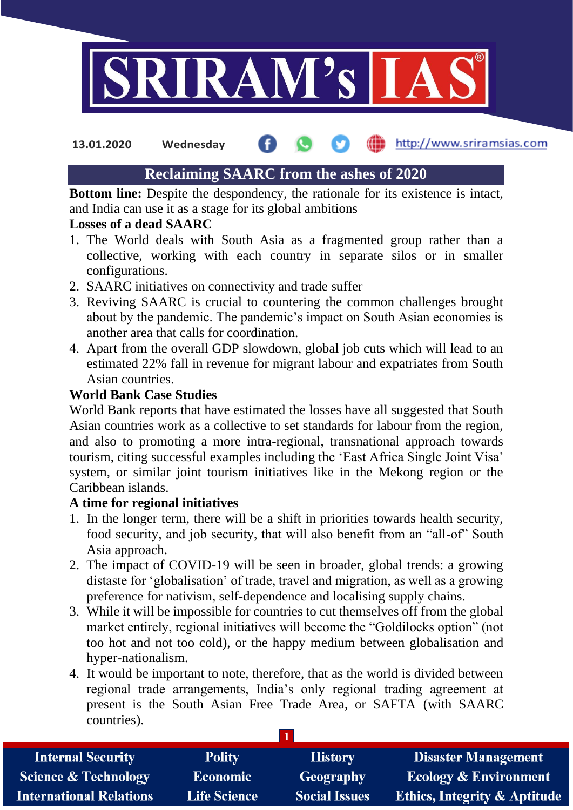

**13.01.2020 Wednesday**

# http://www.sriramsias.com

# **Reclaiming SAARC from the ashes of 2020**

**Bottom line:** Despite the despondency, the rationale for its existence is intact, and India can use it as a stage for its global ambitions

# **Losses of a dead SAARC**

- 1. The World deals with South Asia as a fragmented group rather than a collective, working with each country in separate silos or in smaller configurations.
- 2. SAARC initiatives on connectivity and trade suffer
- 3. Reviving SAARC is crucial to countering the common challenges brought about by the pandemic. The pandemic's impact on South Asian economies is another area that calls for coordination.
- 4. Apart from the overall GDP slowdown, global job cuts which will lead to an estimated 22% fall in revenue for migrant labour and expatriates from South Asian countries.

# **World Bank Case Studies**

World Bank reports that have estimated the losses have all suggested that South Asian countries work as a collective to set standards for labour from the region, and also to promoting a more intra-regional, transnational approach towards tourism, citing successful examples including the 'East Africa Single Joint Visa' system, or similar joint tourism initiatives like in the Mekong region or the Caribbean islands.

# **A time for regional initiatives**

- 1. In the longer term, there will be a shift in priorities towards health security, food security, and job security, that will also benefit from an "all-of" South Asia approach.
- 2. The impact of COVID-19 will be seen in broader, global trends: a growing distaste for 'globalisation' of trade, travel and migration, as well as a growing preference for nativism, self-dependence and localising supply chains.
- 3. While it will be impossible for countries to cut themselves off from the global market entirely, regional initiatives will become the "Goldilocks option" (not too hot and not too cold), or the happy medium between globalisation and hyper-nationalism.
- **1** 4. It would be important to note, therefore, that as the world is divided between regional trade arrangements, India's only regional trading agreement at present is the South Asian Free Trade Area, or SAFTA (with SAARC countries).

| <b>Internal Security</b>        | <b>Polity</b>       | <b>History</b>       | <b>Disaster Management</b>              |
|---------------------------------|---------------------|----------------------|-----------------------------------------|
| <b>Science &amp; Technology</b> | <b>Economic</b>     | Geography            | <b>Ecology &amp; Environment</b>        |
| <b>International Relations</b>  | <b>Life Science</b> | <b>Social Issues</b> | <b>Ethics, Integrity &amp; Aptitude</b> |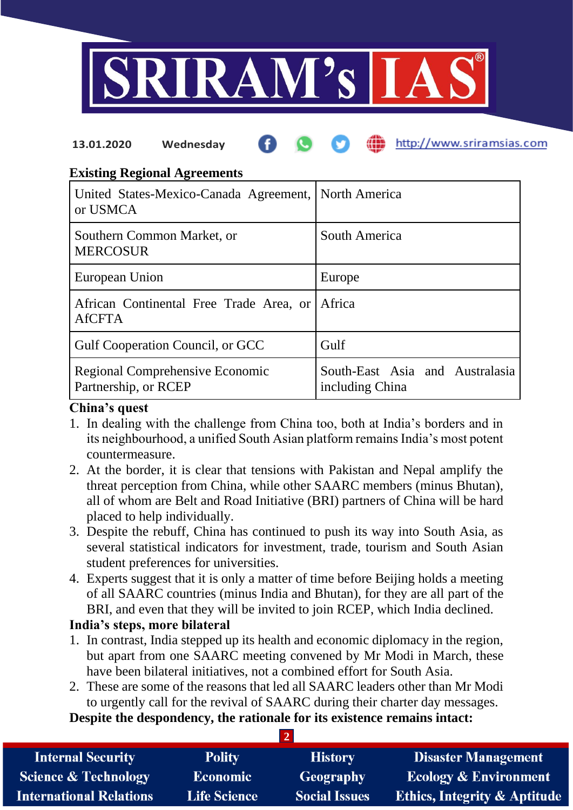

#### http://www.sriramsias.com **13.01.2020 Wednesday**

## **Existing Regional Agreements**

| United States-Mexico-Canada Agreement, North America<br>or USMCA |                                                    |
|------------------------------------------------------------------|----------------------------------------------------|
| Southern Common Market, or<br><b>MERCOSUR</b>                    | South America                                      |
| European Union                                                   | Europe                                             |
| African Continental Free Trade Area, or<br><b>AfCFTA</b>         | Africa                                             |
| Gulf Cooperation Council, or GCC                                 | Gulf                                               |
| Regional Comprehensive Economic<br>Partnership, or RCEP          | South-East Asia and Australasia<br>including China |

#### **China's quest**

- 1. In dealing with the challenge from China too, both at India's borders and in its neighbourhood, a unified South Asian platform remains India's most potent countermeasure.
- 2. At the border, it is clear that tensions with Pakistan and Nepal amplify the threat perception from China, while other SAARC members (minus Bhutan), all of whom are Belt and Road Initiative (BRI) partners of China will be hard placed to help individually.
- 3. Despite the rebuff, China has continued to push its way into South Asia, as several statistical indicators for investment, trade, tourism and South Asian student preferences for universities.
- 4. Experts suggest that it is only a matter of time before Beijing holds a meeting of all SAARC countries (minus India and Bhutan), for they are all part of the BRI, and even that they will be invited to join RCEP, which India declined.

### **India's steps, more bilateral**

- 1. In contrast, India stepped up its health and economic diplomacy in the region, but apart from one SAARC meeting convened by Mr Modi in March, these have been bilateral initiatives, not a combined effort for South Asia.
- 2. These are some of the reasons that led all SAARC leaders other than Mr Modi to urgently call for the revival of SAARC during their charter day messages. **Despite the despondency, the rationale for its existence remains intact:**

**2**

| <b>Internal Security</b>        | <b>Polity</b>       | <b>History</b>       | <b>Disaster Management</b>              |
|---------------------------------|---------------------|----------------------|-----------------------------------------|
| <b>Science &amp; Technology</b> | <b>Economic</b>     | <b>Geography</b>     | <b>Ecology &amp; Environment</b>        |
| <b>International Relations</b>  | <b>Life Science</b> | <b>Social Issues</b> | <b>Ethics, Integrity &amp; Aptitude</b> |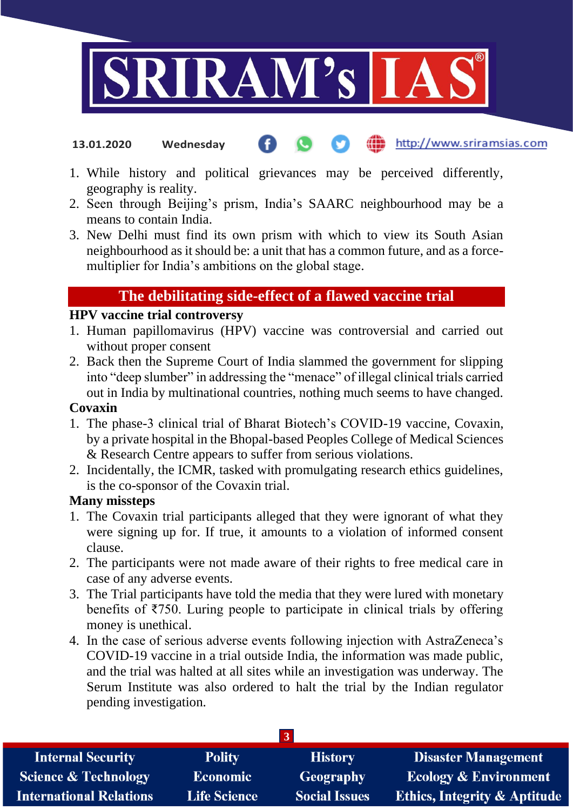

- http://www.sriramsias.com **13.01.2020 Wednesday**
- 1. While history and political grievances may be perceived differently, geography is reality.
- 2. Seen through Beijing's prism, India's SAARC neighbourhood may be a means to contain India.
- 3. New Delhi must find its own prism with which to view its South Asian neighbourhood as it should be: a unit that has a common future, and as a forcemultiplier for India's ambitions on the global stage.

# **The debilitating side-effect of a flawed vaccine trial**

#### **HPV vaccine trial controversy**

- 1. Human papillomavirus (HPV) vaccine was controversial and carried out without proper consent
- 2. Back then the Supreme Court of India slammed the government for slipping into "deep slumber" in addressing the "menace" of illegal clinical trials carried out in India by multinational countries, nothing much seems to have changed.

#### **Covaxin**

- 1. The phase-3 clinical trial of Bharat Biotech's COVID-19 vaccine, Covaxin, by a private hospital in the Bhopal-based Peoples College of Medical Sciences & Research Centre appears to suffer from serious violations.
- 2. Incidentally, the ICMR, tasked with promulgating research ethics guidelines, is the co-sponsor of the Covaxin trial.

### **Many missteps**

- 1. The Covaxin trial participants alleged that they were ignorant of what they were signing up for. If true, it amounts to a violation of informed consent clause.
- 2. The participants were not made aware of their rights to free medical care in case of any adverse events.
- 3. The Trial participants have told the media that they were lured with monetary benefits of ₹750. Luring people to participate in clinical trials by offering money is unethical.
- 4. In the case of serious adverse events following injection with AstraZeneca's COVID-19 vaccine in a trial outside India, the information was made public, and the trial was halted at all sites while an investigation was underway. The Serum Institute was also ordered to halt the trial by the Indian regulator pending investigation.

| <b>Internal Security</b>        | <b>Polity</b>       | <b>History</b>       | <b>Disaster Management</b>              |
|---------------------------------|---------------------|----------------------|-----------------------------------------|
| <b>Science &amp; Technology</b> | <b>Economic</b>     | Geography            | <b>Ecology &amp; Environment</b>        |
| <b>International Relations</b>  | <b>Life Science</b> | <b>Social Issues</b> | <b>Ethics, Integrity &amp; Aptitude</b> |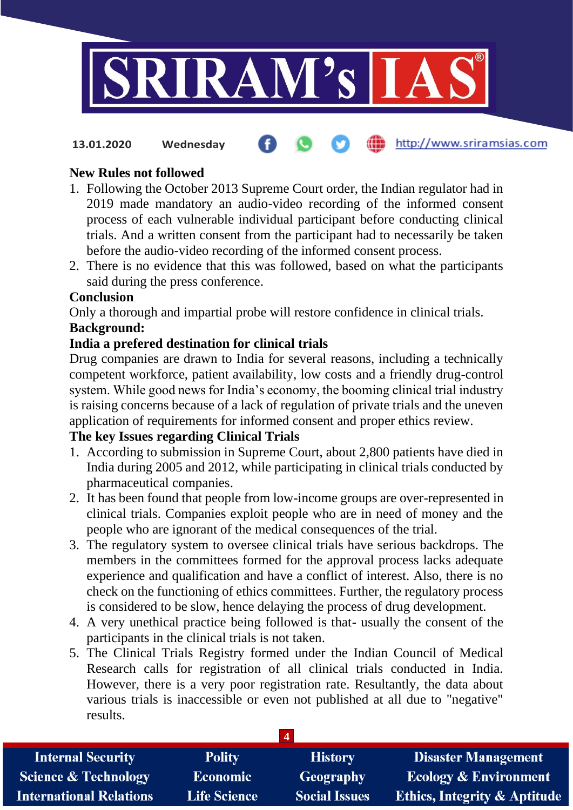

http://www.sriramsias.com **13.01.2020 Wednesday**

# **New Rules not followed**

- 1. Following the October 2013 Supreme Court order, the Indian regulator had in 2019 made mandatory an audio-video recording of the informed consent process of each vulnerable individual participant before conducting clinical trials. And a written consent from the participant had to necessarily be taken before the audio-video recording of the informed consent process.
- 2. There is no evidence that this was followed, based on what the participants said during the press conference.

### **Conclusion**

Only a thorough and impartial probe will restore confidence in clinical trials. **Background:**

## **India a prefered destination for clinical trials**

Drug companies are drawn to India for several reasons, including a technically competent workforce, patient availability, low costs and a friendly drug-control system. While good news for India's economy, the booming clinical trial industry is raising concerns because of a lack of regulation of private trials and the uneven application of requirements for informed consent and proper ethics review.

## **The key Issues regarding Clinical Trials**

- 1. According to submission in Supreme Court, about 2,800 patients have died in India during 2005 and 2012, while participating in clinical trials conducted by pharmaceutical companies.
- 2. It has been found that people from low-income groups are over-represented in clinical trials. Companies exploit people who are in need of money and the people who are ignorant of the medical consequences of the trial.
- 3. The regulatory system to oversee clinical trials have serious backdrops. The members in the committees formed for the approval process lacks adequate experience and qualification and have a conflict of interest. Also, there is no check on the functioning of ethics committees. Further, the regulatory process is considered to be slow, hence delaying the process of drug development.
- 4. A very unethical practice being followed is that- usually the consent of the participants in the clinical trials is not taken.
- 5. The Clinical Trials Registry formed under the Indian Council of Medical Research calls for registration of all clinical trials conducted in India. However, there is a very poor registration rate. Resultantly, the data about various trials is inaccessible or even not published at all due to "negative" results.

| <b>Internal Security</b>       | <b>Polity</b>       | <b>History</b>       | <b>Disaster Management</b>              |
|--------------------------------|---------------------|----------------------|-----------------------------------------|
| Science & Technology           | <b>Economic</b>     | Geography            | <b>Ecology &amp; Environment</b>        |
| <b>International Relations</b> | <b>Life Science</b> | <b>Social Issues</b> | <b>Ethics, Integrity &amp; Aptitude</b> |